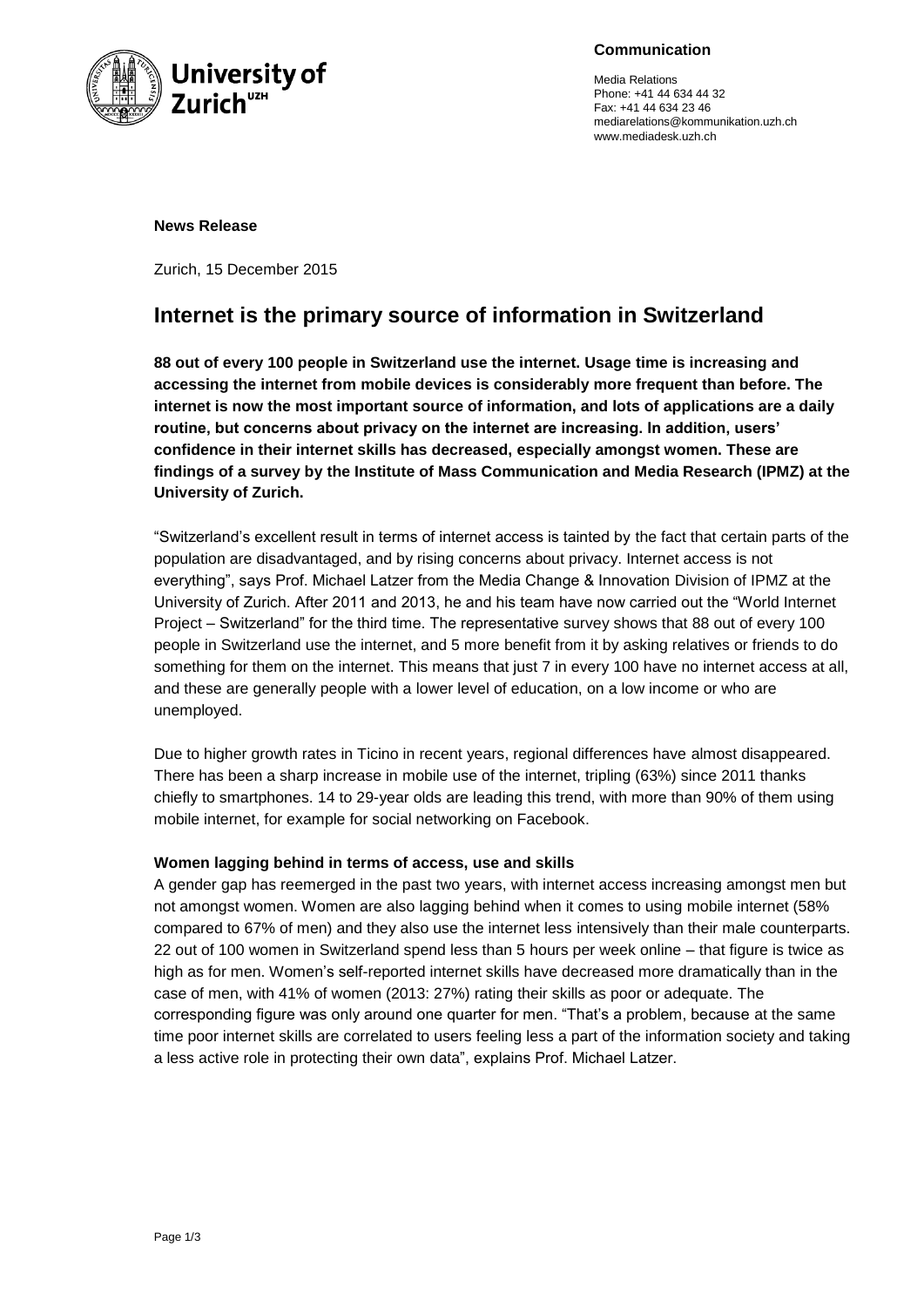

**Communication**

Media Relations Phone: +41 44 634 44 32 Fax: +41 44 634 23 46 mediarelations@kommunikation.uzh.ch www.mediadesk.uzh.ch

#### **News Release**

Zurich, 15 December 2015

# **Internet is the primary source of information in Switzerland**

**88 out of every 100 people in Switzerland use the internet. Usage time is increasing and accessing the internet from mobile devices is considerably more frequent than before. The internet is now the most important source of information, and lots of applications are a daily routine, but concerns about privacy on the internet are increasing. In addition, users' confidence in their internet skills has decreased, especially amongst women. These are findings of a survey by the Institute of Mass Communication and Media Research (IPMZ) at the University of Zurich.**

"Switzerland's excellent result in terms of internet access is tainted by the fact that certain parts of the population are disadvantaged, and by rising concerns about privacy. Internet access is not everything", says Prof. Michael Latzer from the Media Change & Innovation Division of IPMZ at the University of Zurich. After 2011 and 2013, he and his team have now carried out the "World Internet Project – Switzerland" for the third time. The representative survey shows that 88 out of every 100 people in Switzerland use the internet, and 5 more benefit from it by asking relatives or friends to do something for them on the internet. This means that just 7 in every 100 have no internet access at all, and these are generally people with a lower level of education, on a low income or who are unemployed.

Due to higher growth rates in Ticino in recent years, regional differences have almost disappeared. There has been a sharp increase in mobile use of the internet, tripling (63%) since 2011 thanks chiefly to smartphones. 14 to 29-year olds are leading this trend, with more than 90% of them using mobile internet, for example for social networking on Facebook.

# **Women lagging behind in terms of access, use and skills**

A gender gap has reemerged in the past two years, with internet access increasing amongst men but not amongst women. Women are also lagging behind when it comes to using mobile internet (58% compared to 67% of men) and they also use the internet less intensively than their male counterparts. 22 out of 100 women in Switzerland spend less than 5 hours per week online – that figure is twice as high as for men. Women's self-reported internet skills have decreased more dramatically than in the case of men, with 41% of women (2013: 27%) rating their skills as poor or adequate. The corresponding figure was only around one quarter for men. "That's a problem, because at the same time poor internet skills are correlated to users feeling less a part of the information society and taking a less active role in protecting their own data", explains Prof. Michael Latzer.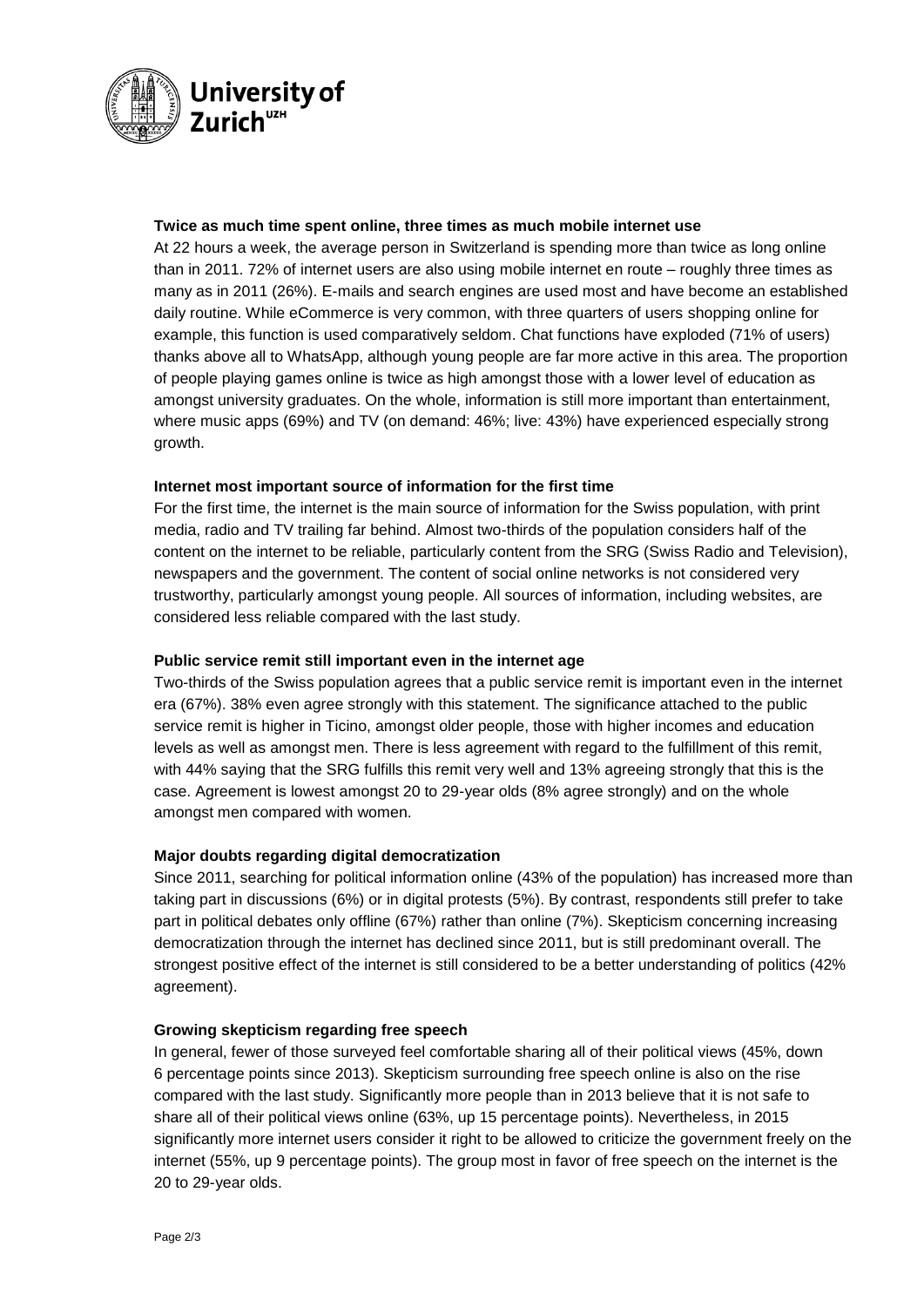

### **Twice as much time spent online, three times as much mobile internet use**

At 22 hours a week, the average person in Switzerland is spending more than twice as long online than in 2011. 72% of internet users are also using mobile internet en route – roughly three times as many as in 2011 (26%). E-mails and search engines are used most and have become an established daily routine. While eCommerce is very common, with three quarters of users shopping online for example, this function is used comparatively seldom. Chat functions have exploded (71% of users) thanks above all to WhatsApp, although young people are far more active in this area. The proportion of people playing games online is twice as high amongst those with a lower level of education as amongst university graduates. On the whole, information is still more important than entertainment, where music apps (69%) and TV (on demand: 46%; live: 43%) have experienced especially strong growth.

### **Internet most important source of information for the first time**

For the first time, the internet is the main source of information for the Swiss population, with print media, radio and TV trailing far behind. Almost two-thirds of the population considers half of the content on the internet to be reliable, particularly content from the SRG (Swiss Radio and Television), newspapers and the government. The content of social online networks is not considered very trustworthy, particularly amongst young people. All sources of information, including websites, are considered less reliable compared with the last study.

## **Public service remit still important even in the internet age**

Two-thirds of the Swiss population agrees that a public service remit is important even in the internet era (67%). 38% even agree strongly with this statement. The significance attached to the public service remit is higher in Ticino, amongst older people, those with higher incomes and education levels as well as amongst men. There is less agreement with regard to the fulfillment of this remit, with 44% saying that the SRG fulfills this remit very well and 13% agreeing strongly that this is the case. Agreement is lowest amongst 20 to 29-year olds (8% agree strongly) and on the whole amongst men compared with women.

# **Major doubts regarding digital democratization**

Since 2011, searching for political information online (43% of the population) has increased more than taking part in discussions (6%) or in digital protests (5%). By contrast, respondents still prefer to take part in political debates only offline (67%) rather than online (7%). Skepticism concerning increasing democratization through the internet has declined since 2011, but is still predominant overall. The strongest positive effect of the internet is still considered to be a better understanding of politics (42% agreement).

#### **Growing skepticism regarding free speech**

In general, fewer of those surveyed feel comfortable sharing all of their political views (45%, down 6 percentage points since 2013). Skepticism surrounding free speech online is also on the rise compared with the last study. Significantly more people than in 2013 believe that it is not safe to share all of their political views online (63%, up 15 percentage points). Nevertheless, in 2015 significantly more internet users consider it right to be allowed to criticize the government freely on the internet (55%, up 9 percentage points). The group most in favor of free speech on the internet is the 20 to 29-year olds.